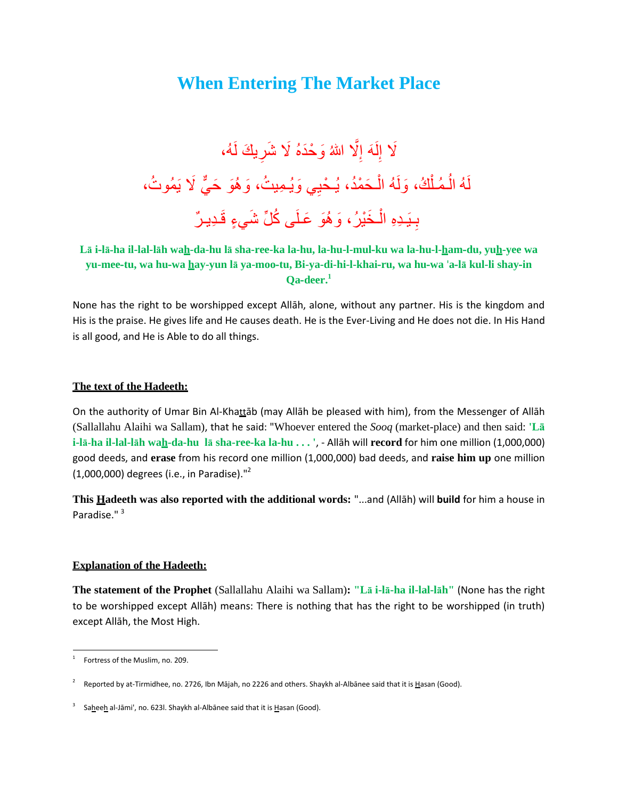# **When Entering The Market Place**

#### لَا إِلَهَ إِلَّا اللهُ وَحْدَهُ لَا شَرِيكَ لَهُ، ِ ا<br>ءِ لا ِ لَهُ الْمُلْكُ، وَلَهُ الْحَمْدُ، يُحْيِي وَيُمِيتُ، وَهُوَ حَيٌّ لَا يَمُوتُ، ْ ْ ُ بِـيَـدِهِ الْـخَيْرُ ، وَ هُوَ عَـلَى كُلِّ شَيءٍ قَـدِيـرٌ ْ ِ

# **Lā i-lā-ha il-lal-lāh wah-da-hu lā sha-ree-ka la-hu, la-hu-l-mul-ku wa la-hu-l-ham-du, yuh-yee wa yu-mee-tu, wa hu-wa hay-yun lā ya-moo-tu, Bi-ya-di-hi-l-khai-ru, wa hu-wa** '**a-lā kul-li shay-in Qa-deer.<sup>1</sup>**

None has the right to be worshipped except Allāh, alone, without any partner. His is the kingdom and His is the praise. He gives life and He causes death. He is the Ever-Living and He does not die. In His Hand is all good, and He is Able to do all things.

## **The text of the Hadeeth:**

On the authority of Umar Bin Al-Khattāb (may Allāh be pleased with him), from the Messenger of Allāh (Sallallahu Alaihi wa Sallam), that he said: "Whoever entered the *Sooq* (market-place) and then said: **'Lā i-lā-ha il-lal-lāh wah-da-hu lā sha-ree-ka la-hu . . . '**, - Allāh will **record** for him one million (1,000,000) good deeds, and **erase** from his record one million (1,000,000) bad deeds, and **raise him up** one million (1,000,000) degrees (i.e., in Paradise)."<sup>2</sup>

**This Hadeeth was also reported with the additional words:** "...and (Allāh) will **build** for him a house in Paradise." <sup>3</sup>

## **Explanation of the Hadeeth:**

**The statement of the Prophet** (Sallallahu Alaihi wa Sallam)**: "Lā i-lā-ha il-lal-lāh"** (None has the right to be worshipped except Allāh) means: There is nothing that has the right to be worshipped (in truth) except Allāh, the Most High.

 $\overline{a}$ 1 Fortress of the Muslim, no. 209.

<sup>2</sup> Reported by at-Tirmidhee, no. 2726, Ibn Mājah, no 2226 and others. Shaykh al-Albānee said that it is Hasan (Good).

<sup>3</sup> Saheeh al-Jāmi', no. 623l. Shaykh al-Albānee said that it is Hasan (Good).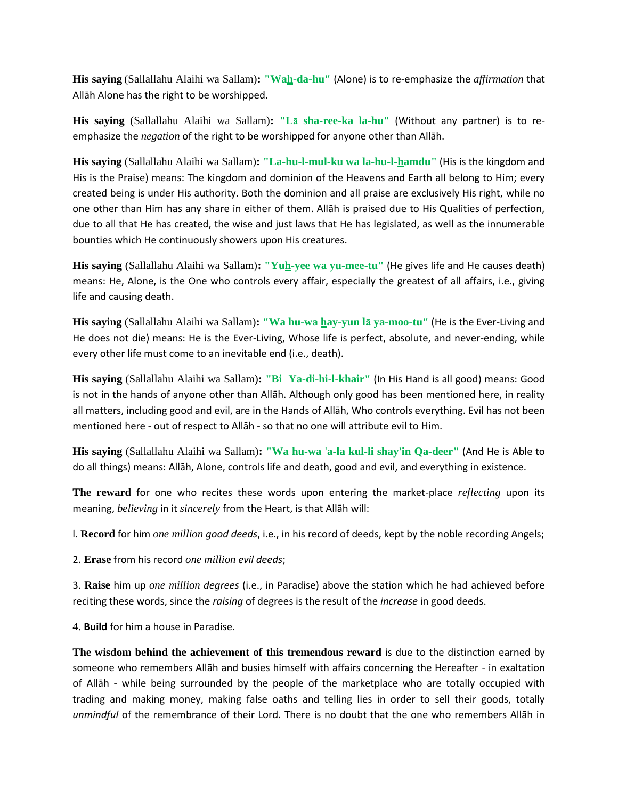**His saying** (Sallallahu Alaihi wa Sallam)**: "Wah-da-hu"** (Alone) is to re-emphasize the *affirmation* that Allāh Alone has the right to be worshipped.

**His saying** (Sallallahu Alaihi wa Sallam)**: "Lā sha-ree-ka la-hu"** (Without any partner) is to reemphasize the *negation* of the right to be worshipped for anyone other than Allāh.

**His saying** (Sallallahu Alaihi wa Sallam)**: "La-hu-l-mul-ku wa la-hu-l-hamdu"** (His is the kingdom and His is the Praise) means: The kingdom and dominion of the Heavens and Earth all belong to Him; every created being is under His authority. Both the dominion and all praise are exclusively His right, while no one other than Him has any share in either of them. Allāh is praised due to His Qualities of perfection, due to all that He has created, the wise and just laws that He has legislated, as well as the innumerable bounties which He continuously showers upon His creatures.

**His saying** (Sallallahu Alaihi wa Sallam)**: "Yuh-yee wa yu-mee-tu"** (He gives life and He causes death) means: He, Alone, is the One who controls every affair, especially the greatest of all affairs, i.e., giving life and causing death.

**His saying** (Sallallahu Alaihi wa Sallam)**: "Wa hu-wa hay-yun lā ya-moo-tu"** (He is the Ever-Living and He does not die) means: He is the Ever-Living, Whose life is perfect, absolute, and never-ending, while every other life must come to an inevitable end (i.e., death).

**His saying** (Sallallahu Alaihi wa Sallam)**: "Bi Ya-di-hi-l-khair"** (In His Hand is all good) means: Good is not in the hands of anyone other than Allāh. Although only good has been mentioned here, in reality all matters, including good and evil, are in the Hands of Allāh, Who controls everything. Evil has not been mentioned here - out of respect to Allāh - so that no one will attribute evil to Him.

**His saying** (Sallallahu Alaihi wa Sallam)**: "Wa hu-wa** '**a-la kul-li shay'in Qa-deer"** (And He is Able to do all things) means: Allāh, Alone, controls life and death, good and evil, and everything in existence.

**The reward** for one who recites these words upon entering the market-place *reflecting* upon its meaning, *believing* in it *sincerely* from the Heart, is that Allāh will:

l. **Record** for him *one million good deeds*, i.e., in his record of deeds, kept by the noble recording Angels;

2. **Erase** from his record *one million evil deeds*;

3. **Raise** him up *one million degrees* (i.e., in Paradise) above the station which he had achieved before reciting these words, since the *raising* of degrees is the result of the *increase* in good deeds.

4. **Build** for him a house in Paradise.

**The wisdom behind the achievement of this tremendous reward** is due to the distinction earned by someone who remembers Allāh and busies himself with affairs concerning the Hereafter - in exaltation of Allāh - while being surrounded by the people of the marketplace who are totally occupied with trading and making money, making false oaths and telling lies in order to sell their goods, totally *unmindful* of the remembrance of their Lord. There is no doubt that the one who remembers Allāh in